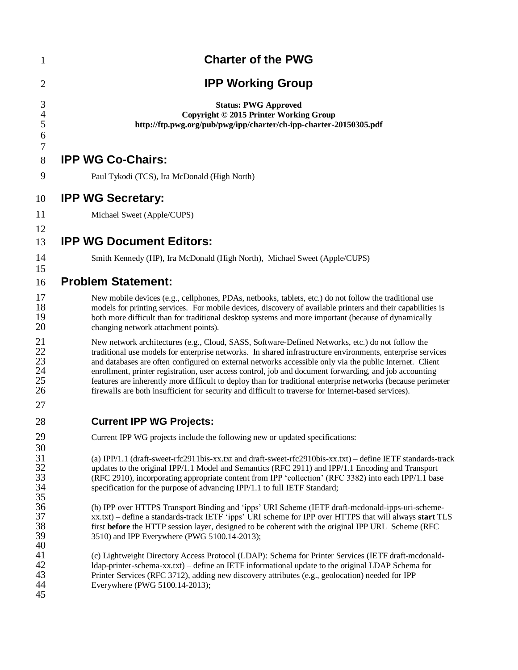| $\mathbf{1}$                     | <b>Charter of the PWG</b>                                                                                                                                                                                                                                                                                                                                                                                                                                                                                                                                                                                                                                   |
|----------------------------------|-------------------------------------------------------------------------------------------------------------------------------------------------------------------------------------------------------------------------------------------------------------------------------------------------------------------------------------------------------------------------------------------------------------------------------------------------------------------------------------------------------------------------------------------------------------------------------------------------------------------------------------------------------------|
| $\overline{2}$                   | <b>IPP Working Group</b>                                                                                                                                                                                                                                                                                                                                                                                                                                                                                                                                                                                                                                    |
| 3<br>$\overline{4}$<br>5<br>6    | <b>Status: PWG Approved</b><br>Copyright © 2015 Printer Working Group<br>http://ftp.pwg.org/pub/pwg/ipp/charter/ch-ipp-charter-20150305.pdf                                                                                                                                                                                                                                                                                                                                                                                                                                                                                                                 |
| 7<br>8                           | <b>IPP WG Co-Chairs:</b>                                                                                                                                                                                                                                                                                                                                                                                                                                                                                                                                                                                                                                    |
| 9                                | Paul Tykodi (TCS), Ira McDonald (High North)                                                                                                                                                                                                                                                                                                                                                                                                                                                                                                                                                                                                                |
| 10                               | <b>IPP WG Secretary:</b>                                                                                                                                                                                                                                                                                                                                                                                                                                                                                                                                                                                                                                    |
| 11                               | Michael Sweet (Apple/CUPS)                                                                                                                                                                                                                                                                                                                                                                                                                                                                                                                                                                                                                                  |
| 12<br>13                         | <b>IPP WG Document Editors:</b>                                                                                                                                                                                                                                                                                                                                                                                                                                                                                                                                                                                                                             |
| 14                               | Smith Kennedy (HP), Ira McDonald (High North), Michael Sweet (Apple/CUPS)                                                                                                                                                                                                                                                                                                                                                                                                                                                                                                                                                                                   |
| 15<br>16                         | <b>Problem Statement:</b>                                                                                                                                                                                                                                                                                                                                                                                                                                                                                                                                                                                                                                   |
| 17<br>18<br>19<br>20             | New mobile devices (e.g., cellphones, PDAs, netbooks, tablets, etc.) do not follow the traditional use<br>models for printing services. For mobile devices, discovery of available printers and their capabilities is<br>both more difficult than for traditional desktop systems and more important (because of dynamically<br>changing network attachment points).                                                                                                                                                                                                                                                                                        |
| 21<br>22<br>23<br>24<br>25<br>26 | New network architectures (e.g., Cloud, SASS, Software-Defined Networks, etc.) do not follow the<br>traditional use models for enterprise networks. In shared infrastructure environments, enterprise services<br>and databases are often configured on external networks accessible only via the public Internet. Client<br>enrollment, printer registration, user access control, job and document forwarding, and job accounting<br>features are inherently more difficult to deploy than for traditional enterprise networks (because perimeter<br>firewalls are both insufficient for security and difficult to traverse for Internet-based services). |
| 27<br>28                         | <b>Current IPP WG Projects:</b>                                                                                                                                                                                                                                                                                                                                                                                                                                                                                                                                                                                                                             |
| 29                               | Current IPP WG projects include the following new or updated specifications:                                                                                                                                                                                                                                                                                                                                                                                                                                                                                                                                                                                |
| 30<br>31<br>32<br>33<br>34<br>35 | (a) IPP/1.1 (draft-sweet-rfc2911bis-xx.txt and draft-sweet-rfc2910bis-xx.txt) – define IETF standards-track<br>updates to the original IPP/1.1 Model and Semantics (RFC 2911) and IPP/1.1 Encoding and Transport<br>(RFC 2910), incorporating appropriate content from IPP 'collection' (RFC 3382) into each IPP/1.1 base<br>specification for the purpose of advancing IPP/1.1 to full IETF Standard;                                                                                                                                                                                                                                                      |
| 36<br>37<br>38<br>39<br>40       | (b) IPP over HTTPS Transport Binding and 'ipps' URI Scheme (IETF draft-mcdonald-ipps-uri-scheme-<br>xx.txt) – define a standards-track IETF 'ipps' URI scheme for IPP over HTTPS that will always start TLS<br>first before the HTTP session layer, designed to be coherent with the original IPP URL Scheme (RFC<br>3510) and IPP Everywhere (PWG 5100.14-2013);                                                                                                                                                                                                                                                                                           |
| 41<br>42<br>43<br>44<br>45       | (c) Lightweight Directory Access Protocol (LDAP): Schema for Printer Services (IETF draft-mcdonald-<br>Idap-printer-schema-xx.txt) – define an IETF informational update to the original LDAP Schema for<br>Printer Services (RFC 3712), adding new discovery attributes (e.g., geolocation) needed for IPP<br>Everywhere (PWG 5100.14-2013);                                                                                                                                                                                                                                                                                                               |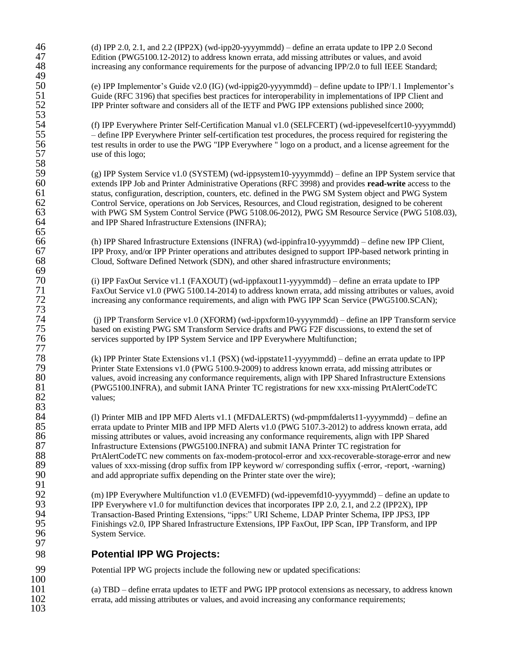46 (d) IPP 2.0, 2.1, and 2.2 (IPP2X) (wd-ipp20-yyyymmdd) – define an errata update to IPP 2.0 Second Edition (PWG5100.12-2012) to address known errata, add missing attributes or values, and avoid 47 Edition (PWG5100.12-2012) to address known errata, add missing attributes or values, and avoid<br>48 entrarcasing any conformance requirements for the purpose of advancing IPP/2.0 to full IEEE Stand increasing any conformance requirements for the purpose of advancing IPP/2.0 to full IEEE Standard;

50 (e) IPP Implementor's Guide v2.0 (IG) (wd-ippig20-yyyymmdd) – define update to IPP/1.1 Implementor's 51 Guide (RFC 3196) that specifies best practices for interoperability in implementations of IPP Client and 52 IPP Printer software and considers all of the IETF and PWG IPP extensions published since 2000; 52 IPP Printer software and considers all of the IETF and PWG IPP extensions published since 2000;

54 (f) IPP Everywhere Printer Self-Certification Manual v1.0 (SELFCERT) (wd-ippeveselfcert10-yyyymmdd) 55 – define IPP Everywhere Printer self-certification test procedures, the process required for registering the test results in order to use the PWG "IPP Everywhere " logo on a product, and a license agreement for the 56 test results in order to use the PWG "IPP Everywhere " logo on a product, and a license agreement for the use of this logo; use of this logo;

59 (g) IPP System Service v1.0 (SYSTEM) (wd-ippsystem10-yyyymmdd) – define an IPP System service that<br>60 extends IPP Job and Printer Administrative Operations (RFC 3998) and provides **read-write** access to the 60 extends IPP Job and Printer Administrative Operations (RFC 3998) and provides **read-write** access to the 61 status, configuration, description, counters, etc. defined in the PWG SM System object and PWG System 62 control Service, operations on Job Services, Resources, and Cloud registration, designed to be coherent 62 Control Service, operations on Job Services, Resources, and Cloud registration, designed to be coherent 63 with PWG SM System Control Service (PWG 5108.06-2012), PWG SM Resource Service (PWG 5108.03), and IPP Shared Infrastructure Extensions (INFRA); and IPP Shared Infrastructure Extensions (INFRA);

66 (h) IPP Shared Infrastructure Extensions (INFRA) (wd-ippinfra10-yyyymmdd) – define new IPP Client, 67 IPP Proxy, and/or IPP Printer operations and attributes designed to support IPP-based network printing in Cloud, Software Defined Network (SDN), and other shared infrastructure environments; 68 Cloud, Software Defined Network (SDN), and other shared infrastructure environments;

70 (i) IPP FaxOut Service v1.1 (FAXOUT) (wd-ippfaxout11-yyyymmdd) – define an errata update to IPP 71 FaxOut Service v1.0 (PWG 5100.14-2014) to address known errata, add missing attributes or values, avoid<br>72 find: energy any conformance requirements, and align with PWG IPP Scan Service (PWG5100.SCAN); increasing any conformance requirements, and align with PWG IPP Scan Service (PWG5100.SCAN);

74 (j) IPP Transform Service v1.0 (XFORM) (wd-ippxform10-yyyymmdd) – define an IPP Transform service 75 based on existing PWG SM Transform Service drafts and PWG F2F discussions, to extend the set of<br>76 services supported by IPP System Service and IPP Everywhere Multifunction; services supported by IPP System Service and IPP Everywhere Multifunction;

78 (k) IPP Printer State Extensions v1.1 (PSX) (wd-ippstate11-yyyymmdd) – define an errata update to IPP 79 Printer State Extensions v1.0 (PWG 5100.9-2009) to address known errata, add missing attributes or<br>80 salues, avoid increasing any conformance requirements, align with IPP Shared Infrastructure Extensi 80 values, avoid increasing any conformance requirements, align with IPP Shared Infrastructure Extensions<br>81 (PWG5100.INFRA), and submit IANA Printer TC registrations for new xxx-missing PrtAlertCodeTC 81 (PWG5100.INFRA), and submit IANA Printer TC registrations for new xxx-missing PrtAlertCodeTC<br>82 values:

84 (1) Printer MIB and IPP MFD Alerts v1.1 (MFDALERTS) (wd-pmpmfdalerts11-yyyymmdd) – define an<br>85 errata update to Printer MIB and IPP MFD Alerts v1.0 (PWG 5107.3-2012) to address known errata, add 85 errata update to Printer MIB and IPP MFD Alerts v1.0 (PWG 5107.3-2012) to address known errata, add 86 missing attributes or values, avoid increasing any conformance requirements, align with IPP Shared 187 and Shared Infrastructure Extensions (PWG5100.INFRA) and submit IANA Printer TC registration for 87 Infrastructure Extensions (PWG5100.INFRA) and submit IANA Printer TC registration for<br>88 PrtAlertCodeTC new comments on fax-modem-protocol-error and xxx-recoverable-storage-88 PrtAlertCodeTC new comments on fax-modem-protocol-error and xxx-recoverable-storage-error and new<br>89 values of xxx-missing (drop suffix from IPP keyword w/ corresponding suffix (-error, -report, -warning) 89 values of xxx-missing (drop suffix from IPP keyword w/ corresponding suffix (-error, -report, -warning)<br>90 and add appropriate suffix depending on the Printer state over the wire); and add appropriate suffix depending on the Printer state over the wire);

92 (m) IPP Everywhere Multifunction v1.0 (EVEMFD) (wd-ippevemfd10-yyyymmdd) – define an update to <br>93 **IPP Everywhere v1.0 for multifunction devices that incorporates IPP 2.0, 2.1, and 2.2 (IPP2X), IPP** 93 IPP Everywhere v1.0 for multifunction devices that incorporates IPP 2.0, 2.1, and 2.2 (IPP2X), IPP<br>94 Transaction-Based Printing Extensions, "ipps:" URI Scheme, LDAP Printer Schema, IPP JPS3, IPP 94 Transaction-Based Printing Extensions, "ipps:" URI Scheme, LDAP Printer Schema, IPP JPS3, IPP Finishings v2.0, IPP Shared Infrastructure Extensions, IPP FaxOut, IPP Scan, IPP Transform, and IPP 96 System Service.

## 98 **Potential IPP WG Projects:**

99 Potential IPP WG projects include the following new or updated specifications:

101 (a) TBD – define errata updates to IETF and PWG IPP protocol extensions as necessary, to address known 102 errata, add missing attributes or values, and avoid increasing any conformance requirements;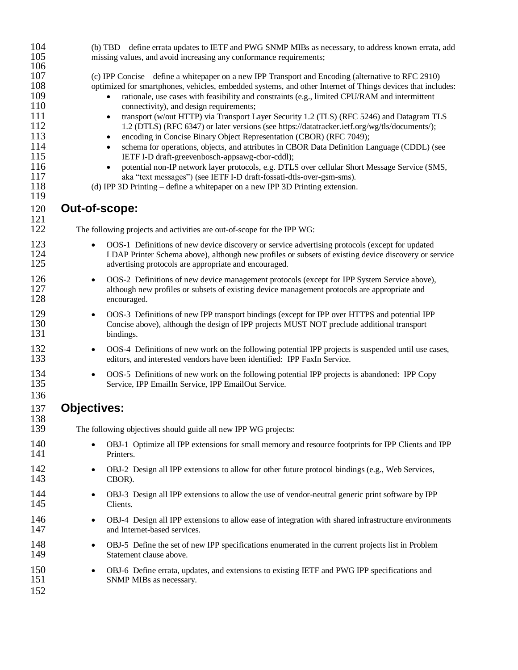| 104<br>105                                                                                     | (b) TBD – define errata updates to IETF and PWG SNMP MIBs as necessary, to address known errata, add<br>missing values, and avoid increasing any conformance requirements;                                                                                                                                                                                                                                                                                                                                                                                                                                                                                                                                                                                                                                                                                                                                                                                                                                                                                                                         |
|------------------------------------------------------------------------------------------------|----------------------------------------------------------------------------------------------------------------------------------------------------------------------------------------------------------------------------------------------------------------------------------------------------------------------------------------------------------------------------------------------------------------------------------------------------------------------------------------------------------------------------------------------------------------------------------------------------------------------------------------------------------------------------------------------------------------------------------------------------------------------------------------------------------------------------------------------------------------------------------------------------------------------------------------------------------------------------------------------------------------------------------------------------------------------------------------------------|
| 106<br>107<br>108<br>109<br>110<br>111<br>112<br>113<br>114<br>115<br>116<br>117<br>118<br>119 | (c) IPP Concise – define a whitepaper on a new IPP Transport and Encoding (alternative to RFC 2910)<br>optimized for smartphones, vehicles, embedded systems, and other Internet of Things devices that includes:<br>rationale, use cases with feasibility and constraints (e.g., limited CPU/RAM and intermittent<br>$\bullet$<br>connectivity), and design requirements;<br>transport (w/out HTTP) via Transport Layer Security 1.2 (TLS) (RFC 5246) and Datagram TLS<br>$\bullet$<br>1.2 (DTLS) (RFC 6347) or later versions (see https://datatracker.ietf.org/wg/tls/documents/);<br>encoding in Concise Binary Object Representation (CBOR) (RFC 7049);<br>$\bullet$<br>schema for operations, objects, and attributes in CBOR Data Definition Language (CDDL) (see<br>IETF I-D draft-greevenbosch-appsawg-cbor-cddl);<br>potential non-IP network layer protocols, e.g. DTLS over cellular Short Message Service (SMS,<br>$\bullet$<br>aka "text messages") (see IETF I-D draft-fossati-dtls-over-gsm-sms).<br>(d) IPP 3D Printing - define a whitepaper on a new IPP 3D Printing extension. |
| 120<br>121                                                                                     | Out-of-scope:                                                                                                                                                                                                                                                                                                                                                                                                                                                                                                                                                                                                                                                                                                                                                                                                                                                                                                                                                                                                                                                                                      |
| 122                                                                                            | The following projects and activities are out-of-scope for the IPP WG:                                                                                                                                                                                                                                                                                                                                                                                                                                                                                                                                                                                                                                                                                                                                                                                                                                                                                                                                                                                                                             |
| 123<br>124<br>125                                                                              | OOS-1 Definitions of new device discovery or service advertising protocols (except for updated<br>LDAP Printer Schema above), although new profiles or subsets of existing device discovery or service<br>advertising protocols are appropriate and encouraged.                                                                                                                                                                                                                                                                                                                                                                                                                                                                                                                                                                                                                                                                                                                                                                                                                                    |
| 126<br>127<br>128                                                                              | OOS-2 Definitions of new device management protocols (except for IPP System Service above),<br>$\bullet$<br>although new profiles or subsets of existing device management protocols are appropriate and<br>encouraged.                                                                                                                                                                                                                                                                                                                                                                                                                                                                                                                                                                                                                                                                                                                                                                                                                                                                            |
| 129<br>130<br>131                                                                              | OOS-3 Definitions of new IPP transport bindings (except for IPP over HTTPS and potential IPP<br>$\bullet$<br>Concise above), although the design of IPP projects MUST NOT preclude additional transport<br>bindings.                                                                                                                                                                                                                                                                                                                                                                                                                                                                                                                                                                                                                                                                                                                                                                                                                                                                               |
| 132<br>133                                                                                     | OOS-4 Definitions of new work on the following potential IPP projects is suspended until use cases,<br>$\bullet$<br>editors, and interested vendors have been identified: IPP FaxIn Service.                                                                                                                                                                                                                                                                                                                                                                                                                                                                                                                                                                                                                                                                                                                                                                                                                                                                                                       |
| 134<br>135<br>136                                                                              | OOS-5 Definitions of new work on the following potential IPP projects is abandoned: IPP Copy<br>٠<br>Service, IPP EmailIn Service, IPP EmailOut Service.                                                                                                                                                                                                                                                                                                                                                                                                                                                                                                                                                                                                                                                                                                                                                                                                                                                                                                                                           |
| 137<br>138                                                                                     | <b>Objectives:</b>                                                                                                                                                                                                                                                                                                                                                                                                                                                                                                                                                                                                                                                                                                                                                                                                                                                                                                                                                                                                                                                                                 |
| 139                                                                                            | The following objectives should guide all new IPP WG projects:                                                                                                                                                                                                                                                                                                                                                                                                                                                                                                                                                                                                                                                                                                                                                                                                                                                                                                                                                                                                                                     |
| 140<br>141                                                                                     | OBJ-1 Optimize all IPP extensions for small memory and resource footprints for IPP Clients and IPP<br>Printers.                                                                                                                                                                                                                                                                                                                                                                                                                                                                                                                                                                                                                                                                                                                                                                                                                                                                                                                                                                                    |
| 142<br>143                                                                                     | OBJ-2 Design all IPP extensions to allow for other future protocol bindings (e.g., Web Services,<br>CBOR).                                                                                                                                                                                                                                                                                                                                                                                                                                                                                                                                                                                                                                                                                                                                                                                                                                                                                                                                                                                         |
| 144<br>145                                                                                     | OBJ-3 Design all IPP extensions to allow the use of vendor-neutral generic print software by IPP<br>Clients.                                                                                                                                                                                                                                                                                                                                                                                                                                                                                                                                                                                                                                                                                                                                                                                                                                                                                                                                                                                       |
| 146<br>147                                                                                     | OBJ-4 Design all IPP extensions to allow ease of integration with shared infrastructure environments<br>and Internet-based services.                                                                                                                                                                                                                                                                                                                                                                                                                                                                                                                                                                                                                                                                                                                                                                                                                                                                                                                                                               |
| 148<br>149                                                                                     | OBJ-5 Define the set of new IPP specifications enumerated in the current projects list in Problem<br>٠<br>Statement clause above.                                                                                                                                                                                                                                                                                                                                                                                                                                                                                                                                                                                                                                                                                                                                                                                                                                                                                                                                                                  |
| 150<br>151<br>152                                                                              | OBJ-6 Define errata, updates, and extensions to existing IETF and PWG IPP specifications and<br>SNMP MIBs as necessary.                                                                                                                                                                                                                                                                                                                                                                                                                                                                                                                                                                                                                                                                                                                                                                                                                                                                                                                                                                            |